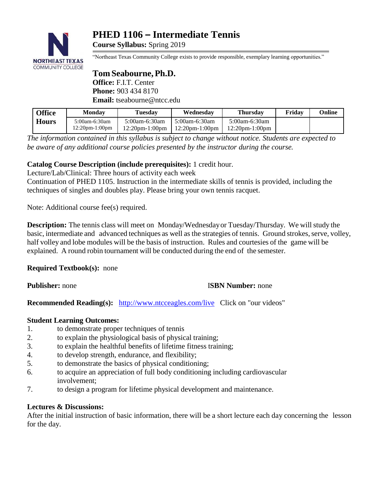

# **PHED 1106 – Intermediate Tennis**

**Course Syllabus:** Spring 2019

"Northeast Texas Community College exists to provide responsible, exemplary learning opportunities."

# **Tom Seabourne, Ph.D. Office:** F.I.T. Center **Phone:** 903 434 8170 **Email:** [tseabourne@ntcc.edu](mailto:tseabourne@ntcc.edu)

| <b>Office</b> | <b>Monday</b>                          | Tuesdav                               | Wednesdav                              | <b>Thursdav</b>                        | Fridav | Online |
|---------------|----------------------------------------|---------------------------------------|----------------------------------------|----------------------------------------|--------|--------|
| <b>Hours</b>  | 5:00am-6:30am<br>$12:20$ pm- $1:00$ pm | $5:00$ am-6:30am<br>$12:20$ pm-1:00pm | 5:00am-6:30am<br>$12:20$ pm- $1:00$ pm | 5:00am-6:30am<br>$12:20$ pm- $1:00$ pm |        |        |

*The information contained in this syllabus is subject to change without notice. Students are expected to be aware of any additional course policies presented by the instructor during the course.*

# **Catalog Course Description (include prerequisites):** 1 credit hour.

Lecture/Lab/Clinical: Three hours of activity each week

Continuation of PHED 1105. Instruction in the intermediate skills of tennis is provided, including the techniques of singles and doubles play. Please bring your own tennis racquet.

Note: Additional course fee(s) required.

**Description:** The tennis class will meet on Monday/Wednesday or Tuesday/Thursday. We will study the basic, intermediate and advanced techniques as well as the strategies of tennis. Ground strokes, serve, volley, half volley and lobe modules will be the basis of instruction. Rules and courtesies of the game will be explained. A round robin tournament will be conducted during the end of the semester.

**Required Textbook(s):** none

## **Publisher:** none I**SBN Number:** none

**Recommended Reading(s):** <http://www.ntcceagles.com/live>Click on "our videos"

## **Student Learning Outcomes:**

- 1. to demonstrate proper techniques of tennis
- 2. to explain the physiological basis of physical training;
- 3. to explain the healthful benefits of lifetime fitness training;
- 4. to develop strength, endurance, and flexibility;
- 5. to demonstrate the basics of physical conditioning;
- 6. to acquire an appreciation of full body conditioning including cardiovascular involvement;
- 7. to design a program for lifetime physical development and maintenance.

## **Lectures & Discussions:**

After the initial instruction of basic information, there will be a short lecture each day concerning the lesson for the day.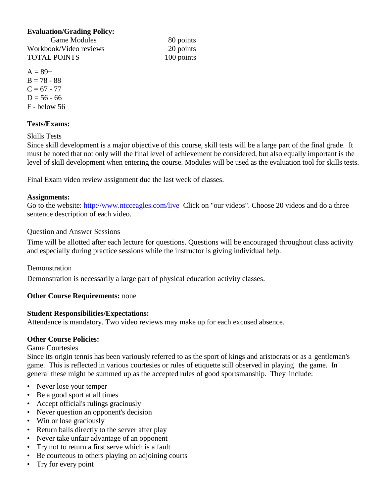#### **Evaluation/Grading Policy:**

Game Modules 80 points Workbook/Video reviews 20 points TOTAL POINTS 100 points

 $A = 89+$  $B = 78 - 88$  $C = 67 - 77$  $D = 56 - 66$ F - below 56

### **Tests/Exams:**

Skills Tests

Since skill development is a major objective of this course, skill tests will be a large part of the final grade. It must be noted that not only will the final level of achievement be considered, but also equally important is the level of skill development when entering the course. Modules will be used as the evaluation tool for skills tests.

Final Exam video review assignment due the last week of classes.

#### **Assignments:**

Go to the website: <http://www.ntcceagles.com/live> Click on "our videos". Choose 20 videos and do a three sentence description of each video.

#### Question and Answer Sessions

Time will be allotted after each lecture for questions. Questions will be encouraged throughout class activity and especially during practice sessions while the instructor is giving individual help.

#### Demonstration

Demonstration is necessarily a large part of physical education activity classes.

#### **Other Course Requirements:** none

#### **Student Responsibilities/Expectations:**

Attendance is mandatory. Two video reviews may make up for each excused absence.

#### **Other Course Policies:**

Game Courtesies

Since its origin tennis has been variously referred to as the sport of kings and aristocrats or as a gentleman's game. This is reflected in various courtesies or rules of etiquette still observed in playing the game. In general these might be summed up as the accepted rules of good sportsmanship. They include:

- Never lose your temper
- Be a good sport at all times
- Accept official's rulings graciously
- Never question an opponent's decision
- Win or lose graciously
- Return balls directly to the server after play
- Never take unfair advantage of an opponent
- Try not to return a first serve which is a fault
- Be courteous to others playing on adjoining courts
- Try for every point